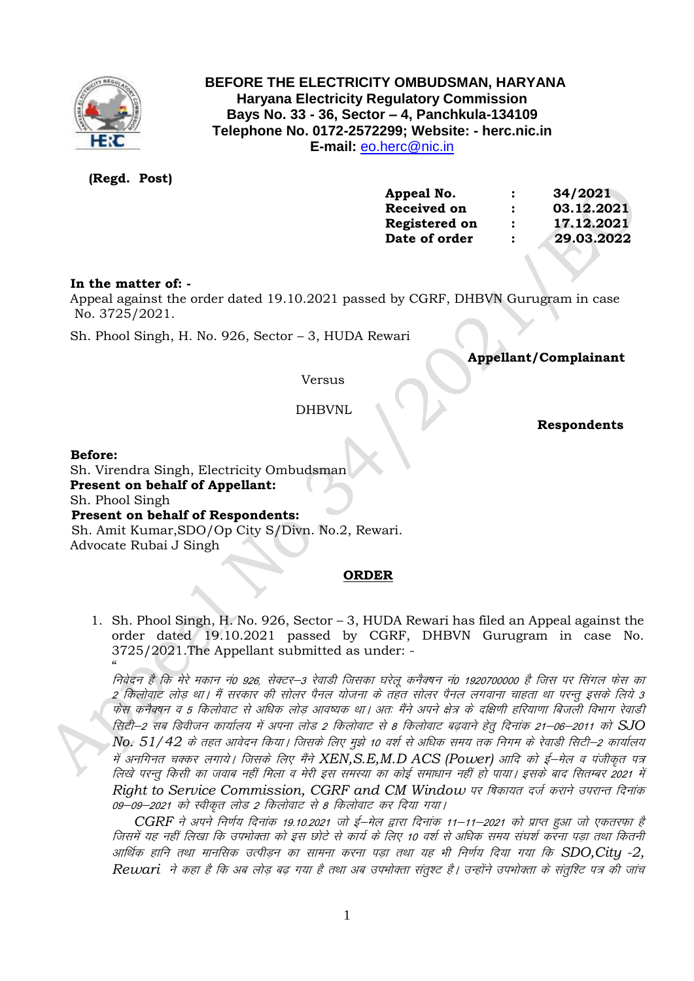

# **BEFORE THE ELECTRICITY OMBUDSMAN, HARYANA Haryana Electricity Regulatory Commission Bays No. 33 - 36, Sector – 4, Panchkula-134109 Telephone No. 0172-2572299; Website: - herc.nic.in E-mail:** [eo.herc@nic.in](mailto:eo.herc@nic.in)

# **(Regd. Post)**

| Appeal No.           | $\ddot{\phantom{a}}$ | 34/2021    |
|----------------------|----------------------|------------|
| Received on          | $\ddot{\cdot}$       | 03.12.2021 |
| <b>Registered on</b> | $\ddot{\cdot}$       | 17.12.2021 |
| Date of order        | $\ddot{\cdot}$       | 29.03.2022 |
|                      |                      |            |

## **In the matter of: -**

 Appeal against the order dated 19.10.2021 passed by CGRF, DHBVN Gurugram in case No. 3725/2021.

Sh. Phool Singh, H. No. 926, Sector – 3, HUDA Rewari

 **Appellant/Complainant** 

## Versus

DHBVNL

 **Respondents**

#### **Before:**

 Sh. Virendra Singh, Electricity Ombudsman **Present on behalf of Appellant:**  Sh. Phool Singh  **Present on behalf of Respondents:** Sh. Amit Kumar,SDO/Op City S/Divn. No.2, Rewari. Advocate Rubai J Singh

### **ORDER**

1. Sh. Phool Singh, H. No. 926, Sector – 3, HUDA Rewari has filed an Appeal against the order dated 19.10.2021 passed by CGRF, DHBVN Gurugram in case No. 3725/2021.The Appellant submitted as under: -

 $\alpha$ निवेदन है कि मेरे मकान नं0 926, सेक्टर–3 रेवाडी जिसका घरेलू कनैक्षन नं0 1920700000 है जिस पर सिंगल फेस का 2 किलोवाट लोड़ था। मैं सरकार की सोलर पैनल योजना के तहत सोलर पैनल लगवाना चाहता था परन्तु इसके लिये 3 फेस कनैक्वन व 5 किलोवाट से अधिक लोड आवष्यक था। अतः मैंने अपने क्षेत्र के दक्षिणी हरियाणा बिजली विभाग रेवाडी flVh&2 lc fMohtu dk;kZy; esa viuk yksM 2 fdyksokV ls 8 fdyksokV c<+okus g srq fnuk ad 21&06&2011 dk s *SJO No. 51/42 के तहत आवेदन किया। जिसके लिए मुझे 10 वर्श से अधिक समय तक निगम के रेवाडी सिटी–2 कार्यालय* में अनगिनत चक्कर लगाये। जिसके लिए मैंने XEN,S.E,M.D ACS (Power) आदि को ई—मेल व पंजीकृत पत्र लिखे परन्तु किसी का जवाब नहीं मिला व मेरी इस समस्या का कोई समाधान नहीं हो पाया। इसके बाद सितम्बर 2021 में *Right to Service Commission, CGRF and CM Window पर षिकायत दर्ज कराने उपरान्त दिनांक* 09-09-2021 को स्वीकृत लोड 2 किलोवाट से 8 किलोवाट कर दिया गया।

*CGRF ने अपने निर्णय दिनांक 19.10.2021 जो ई*—मेल द्वारा दिनांक 11—11—2021 को प्राप्त हुआ जो एकतरफा है जिसमें यह नहीं लिखा कि उपभोक्ता को इस छोटे से कार्य के लिए 10 वर्श से अधिक समय संघर्श करना पड़ा तथा कितनी आर्थिक हानि तथा मानसिक उत्पीडन का सामना करना पड़ा तथा यह भी निर्णय दिया गया कि SDO,City -2, Rewari ने कहा है कि अब लोड बढ गया है तथा अब उपभोक्ता संतुश्ट है। उन्होंने उपभोक्ता के संतुश्टि पत्र की जांच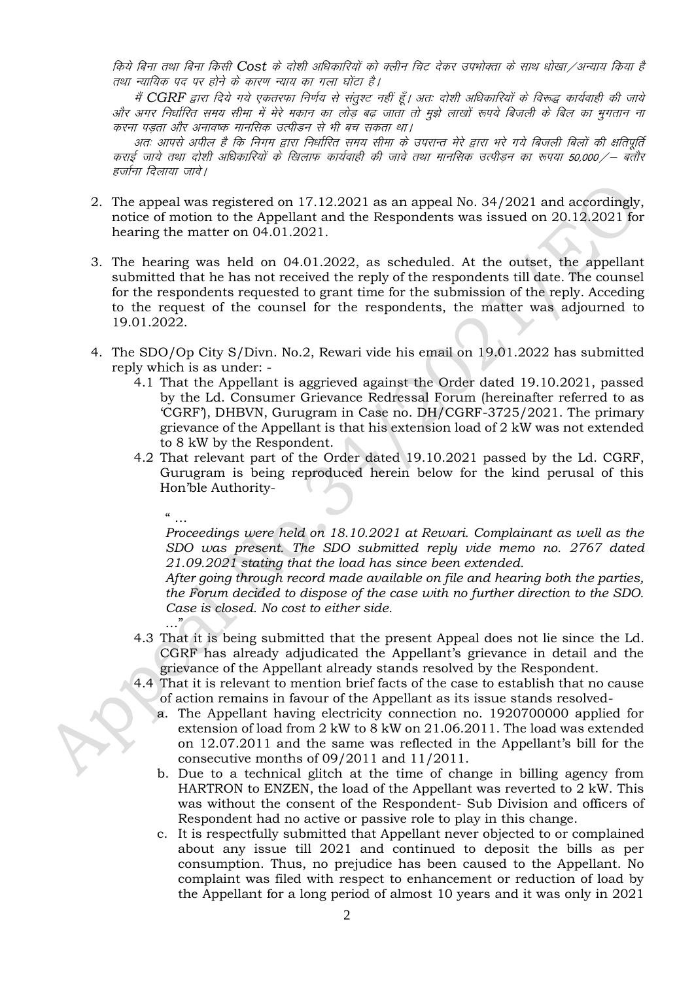fकेये बिना तथा बिना किसी Cost के दोशी अधिकारियों को क्लीन चिट देकर उपभोक्ता के साथ धोखा /अन्याय किया है तथा न्यायिक पद पर होने के कारण न्याय का गला घोंटा है।

मैं CGRF द्वारा दिये गये एकतरफा निर्णय से संतुश्ट नहीं हूँ। अतः दोशी अधिकारियों के विरूद्ध कार्यवाही की जाये ओर अगर निर्धारित समय सीमा में मेरे मकान का लोड़ बढ़ जाता तो मुझे लाखों रूपये बिजली के बिल का भुगतान ना करना पडता और अनावष्क मानसिक उत्पीडन से भी बच सकता था।

अतः आपसे अपील है कि निगम द्वारा निर्धारित समय सीमा के उपरान्त मेरे द्वारा भरे गये बिजली बिलों की क्षतिपूर्ति कराई जाये तथा दोशी अधिकारियों के खिलाफ कार्यवाही की जावे तथा मानसिक उत्पीडन का रूपया 50,000 ⁄ – बतौर हर्जाना दिलाया जावे।

- 2. The appeal was registered on 17.12.2021 as an appeal No. 34/2021 and accordingly, notice of motion to the Appellant and the Respondents was issued on 20.12.2021 for hearing the matter on 04.01.2021.
- 3. The hearing was held on 04.01.2022, as scheduled. At the outset, the appellant submitted that he has not received the reply of the respondents till date. The counsel for the respondents requested to grant time for the submission of the reply. Acceding to the request of the counsel for the respondents, the matter was adjourned to 19.01.2022.
- 4. The SDO/Op City S/Divn. No.2, Rewari vide his email on 19.01.2022 has submitted reply which is as under: -
	- 4.1 That the Appellant is aggrieved against the Order dated 19.10.2021, passed by the Ld. Consumer Grievance Redressal Forum (hereinafter referred to as 'CGRF'), DHBVN, Gurugram in Case no. DH/CGRF-3725/2021. The primary grievance of the Appellant is that his extension load of 2 kW was not extended to 8 kW by the Respondent.
	- 4.2 That relevant part of the Order dated 19.10.2021 passed by the Ld. CGRF, Gurugram is being reproduced herein below for the kind perusal of this Hon'ble Authority-
		- $"$  …

*Proceedings were held on 18.10.2021 at Rewari. Complainant as well as the SDO was present. The SDO submitted reply vide memo no. 2767 dated 21.09.2021 stating that the load has since been extended.*

*After going through record made available on file and hearing both the parties, the Forum decided to dispose of the case with no further direction to the SDO. Case is closed. No cost to either side.* …"

- 4.3 That it is being submitted that the present Appeal does not lie since the Ld. CGRF has already adjudicated the Appellant's grievance in detail and the grievance of the Appellant already stands resolved by the Respondent.
- 4.4 That it is relevant to mention brief facts of the case to establish that no cause of action remains in favour of the Appellant as its issue stands resolved
	- a. The Appellant having electricity connection no. 1920700000 applied for extension of load from 2 kW to 8 kW on 21.06.2011. The load was extended on 12.07.2011 and the same was reflected in the Appellant's bill for the consecutive months of 09/2011 and 11/2011.
	- b. Due to a technical glitch at the time of change in billing agency from HARTRON to ENZEN, the load of the Appellant was reverted to 2 kW. This was without the consent of the Respondent- Sub Division and officers of Respondent had no active or passive role to play in this change.
	- c. It is respectfully submitted that Appellant never objected to or complained about any issue till 2021 and continued to deposit the bills as per consumption. Thus, no prejudice has been caused to the Appellant. No complaint was filed with respect to enhancement or reduction of load by the Appellant for a long period of almost 10 years and it was only in 2021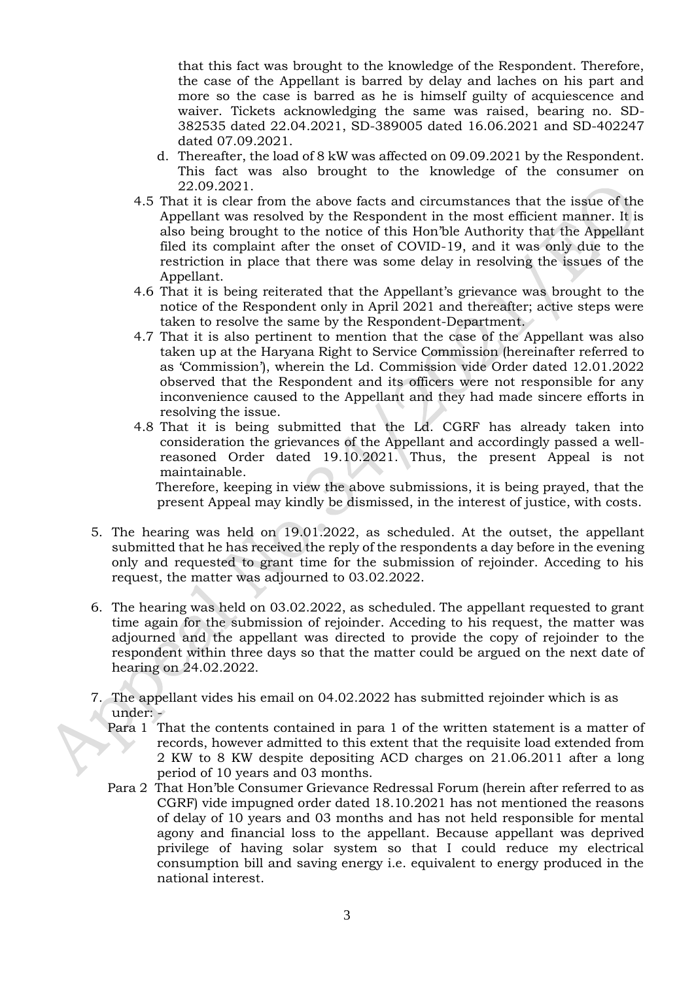that this fact was brought to the knowledge of the Respondent. Therefore, the case of the Appellant is barred by delay and laches on his part and more so the case is barred as he is himself guilty of acquiescence and waiver. Tickets acknowledging the same was raised, bearing no. SD-382535 dated 22.04.2021, SD-389005 dated 16.06.2021 and SD-402247 dated 07.09.2021.

- d. Thereafter, the load of 8 kW was affected on 09.09.2021 by the Respondent. This fact was also brought to the knowledge of the consumer on 22.09.2021.
- 4.5 That it is clear from the above facts and circumstances that the issue of the Appellant was resolved by the Respondent in the most efficient manner. It is also being brought to the notice of this Hon'ble Authority that the Appellant filed its complaint after the onset of COVID-19, and it was only due to the restriction in place that there was some delay in resolving the issues of the Appellant.
- 4.6 That it is being reiterated that the Appellant's grievance was brought to the notice of the Respondent only in April 2021 and thereafter; active steps were taken to resolve the same by the Respondent-Department.
- 4.7 That it is also pertinent to mention that the case of the Appellant was also taken up at the Haryana Right to Service Commission (hereinafter referred to as 'Commission'), wherein the Ld. Commission vide Order dated 12.01.2022 observed that the Respondent and its officers were not responsible for any inconvenience caused to the Appellant and they had made sincere efforts in resolving the issue.
- 4.8 That it is being submitted that the Ld. CGRF has already taken into consideration the grievances of the Appellant and accordingly passed a wellreasoned Order dated 19.10.2021. Thus, the present Appeal is not maintainable.

 Therefore, keeping in view the above submissions, it is being prayed, that the present Appeal may kindly be dismissed, in the interest of justice, with costs.

- 5. The hearing was held on 19.01.2022, as scheduled. At the outset, the appellant submitted that he has received the reply of the respondents a day before in the evening only and requested to grant time for the submission of rejoinder. Acceding to his request, the matter was adjourned to 03.02.2022.
- 6. The hearing was held on 03.02.2022, as scheduled. The appellant requested to grant time again for the submission of rejoinder. Acceding to his request, the matter was adjourned and the appellant was directed to provide the copy of rejoinder to the respondent within three days so that the matter could be argued on the next date of hearing on 24.02.2022.
- 7. The appellant vides his email on 04.02.2022 has submitted rejoinder which is as under: -
	- Para 1 That the contents contained in para 1 of the written statement is a matter of records, however admitted to this extent that the requisite load extended from 2 KW to 8 KW despite depositing ACD charges on 21.06.2011 after a long period of 10 years and 03 months.
	- Para 2 That Hon'ble Consumer Grievance Redressal Forum (herein after referred to as CGRF) vide impugned order dated 18.10.2021 has not mentioned the reasons of delay of 10 years and 03 months and has not held responsible for mental agony and financial loss to the appellant. Because appellant was deprived privilege of having solar system so that I could reduce my electrical consumption bill and saving energy i.e. equivalent to energy produced in the national interest.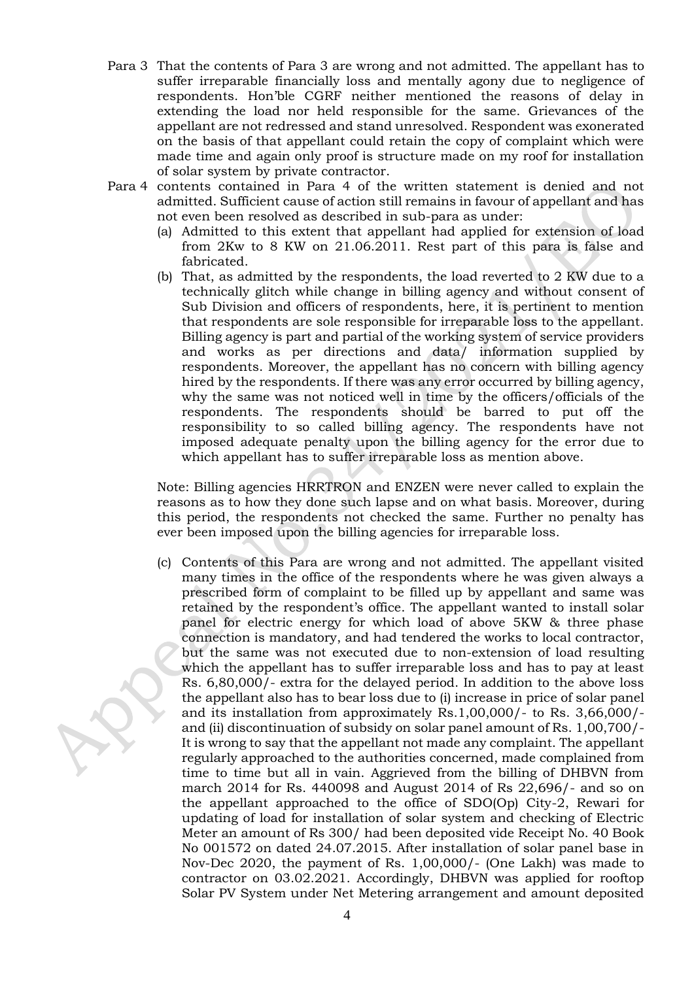- Para 3 That the contents of Para 3 are wrong and not admitted. The appellant has to suffer irreparable financially loss and mentally agony due to negligence of respondents. Hon'ble CGRF neither mentioned the reasons of delay in extending the load nor held responsible for the same. Grievances of the appellant are not redressed and stand unresolved. Respondent was exonerated on the basis of that appellant could retain the copy of complaint which were made time and again only proof is structure made on my roof for installation of solar system by private contractor.
- Para 4 contents contained in Para 4 of the written statement is denied and not admitted. Sufficient cause of action still remains in favour of appellant and has not even been resolved as described in sub-para as under:
	- (a) Admitted to this extent that appellant had applied for extension of load from 2Kw to 8 KW on 21.06.2011. Rest part of this para is false and fabricated.
	- (b) That, as admitted by the respondents, the load reverted to 2 KW due to a technically glitch while change in billing agency and without consent of Sub Division and officers of respondents, here, it is pertinent to mention that respondents are sole responsible for irreparable loss to the appellant. Billing agency is part and partial of the working system of service providers and works as per directions and data/ information supplied by respondents. Moreover, the appellant has no concern with billing agency hired by the respondents. If there was any error occurred by billing agency, why the same was not noticed well in time by the officers/officials of the respondents. The respondents should be barred to put off the responsibility to so called billing agency. The respondents have not imposed adequate penalty upon the billing agency for the error due to which appellant has to suffer irreparable loss as mention above.

Note: Billing agencies HRRTRON and ENZEN were never called to explain the reasons as to how they done such lapse and on what basis. Moreover, during this period, the respondents not checked the same. Further no penalty has ever been imposed upon the billing agencies for irreparable loss.

(c) Contents of this Para are wrong and not admitted. The appellant visited many times in the office of the respondents where he was given always a prescribed form of complaint to be filled up by appellant and same was retained by the respondent's office. The appellant wanted to install solar panel for electric energy for which load of above 5KW & three phase connection is mandatory, and had tendered the works to local contractor, but the same was not executed due to non-extension of load resulting which the appellant has to suffer irreparable loss and has to pay at least Rs. 6,80,000/- extra for the delayed period. In addition to the above loss the appellant also has to bear loss due to (i) increase in price of solar panel and its installation from approximately Rs.1,00,000/- to Rs. 3,66,000/ and (ii) discontinuation of subsidy on solar panel amount of Rs. 1,00,700/- It is wrong to say that the appellant not made any complaint. The appellant regularly approached to the authorities concerned, made complained from time to time but all in vain. Aggrieved from the billing of DHBVN from march 2014 for Rs. 440098 and August 2014 of Rs 22,696/- and so on the appellant approached to the office of SDO(Op) City-2, Rewari for updating of load for installation of solar system and checking of Electric Meter an amount of Rs 300/ had been deposited vide Receipt No. 40 Book No 001572 on dated 24.07.2015. After installation of solar panel base in Nov-Dec 2020, the payment of Rs. 1,00,000/- (One Lakh) was made to contractor on 03.02.2021. Accordingly, DHBVN was applied for rooftop Solar PV System under Net Metering arrangement and amount deposited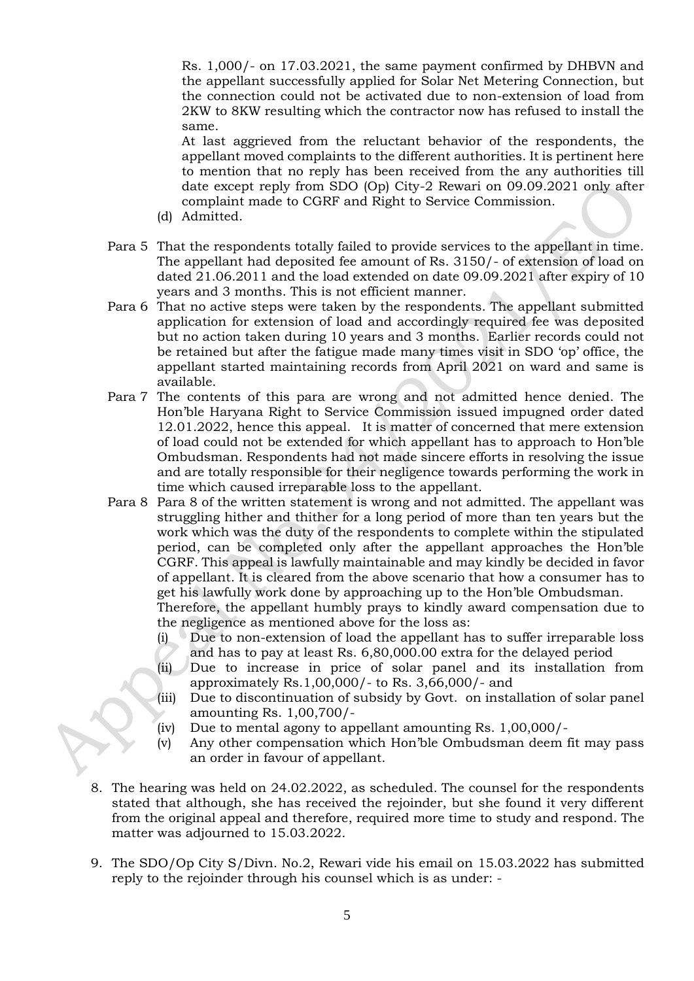Rs. 1,000/- on 17.03.2021, the same payment confirmed by DHBVN and the appellant successfully applied for Solar Net Metering Connection, but the connection could not be activated due to non-extension of load from 2KW to 8KW resulting which the contractor now has refused to install the same.

At last aggrieved from the reluctant behavior of the respondents, the appellant moved complaints to the different authorities. It is pertinent here to mention that no reply has been received from the any authorities till date except reply from SDO (Op) City-2 Rewari on 09.09.2021 only after complaint made to CGRF and Right to Service Commission.

- (d) Admitted.
- Para 5 That the respondents totally failed to provide services to the appellant in time. The appellant had deposited fee amount of Rs. 3150/- of extension of load on dated 21.06.2011 and the load extended on date 09.09.2021 after expiry of 10 years and 3 months. This is not efficient manner.
- Para 6 That no active steps were taken by the respondents. The appellant submitted application for extension of load and accordingly required fee was deposited but no action taken during 10 years and 3 months. Earlier records could not be retained but after the fatigue made many times visit in SDO 'op' office, the appellant started maintaining records from April 2021 on ward and same is available.
- Para 7 The contents of this para are wrong and not admitted hence denied. The Hon'ble Haryana Right to Service Commission issued impugned order dated 12.01.2022, hence this appeal. It is matter of concerned that mere extension of load could not be extended for which appellant has to approach to Hon'ble Ombudsman. Respondents had not made sincere efforts in resolving the issue and are totally responsible for their negligence towards performing the work in time which caused irreparable loss to the appellant.
- Para 8 Para 8 of the written statement is wrong and not admitted. The appellant was struggling hither and thither for a long period of more than ten years but the work which was the duty of the respondents to complete within the stipulated period, can be completed only after the appellant approaches the Hon'ble CGRF. This appeal is lawfully maintainable and may kindly be decided in favor of appellant. It is cleared from the above scenario that how a consumer has to get his lawfully work done by approaching up to the Hon'ble Ombudsman. Therefore, the appellant humbly prays to kindly award compensation due to

the negligence as mentioned above for the loss as:

- (i) Due to non-extension of load the appellant has to suffer irreparable loss and has to pay at least Rs. 6,80,000.00 extra for the delayed period
- (ii) Due to increase in price of solar panel and its installation from approximately Rs.1,00,000/- to Rs. 3,66,000/- and
- (iii) Due to discontinuation of subsidy by Govt. on installation of solar panel amounting Rs. 1,00,700/-
- (iv) Due to mental agony to appellant amounting Rs. 1,00,000/-
- (v) Any other compensation which Hon'ble Ombudsman deem fit may pass an order in favour of appellant.
- 8. The hearing was held on 24.02.2022, as scheduled. The counsel for the respondents stated that although, she has received the rejoinder, but she found it very different from the original appeal and therefore, required more time to study and respond. The matter was adjourned to 15.03.2022.
- 9. The SDO/Op City S/Divn. No.2, Rewari vide his email on 15.03.2022 has submitted reply to the rejoinder through his counsel which is as under: -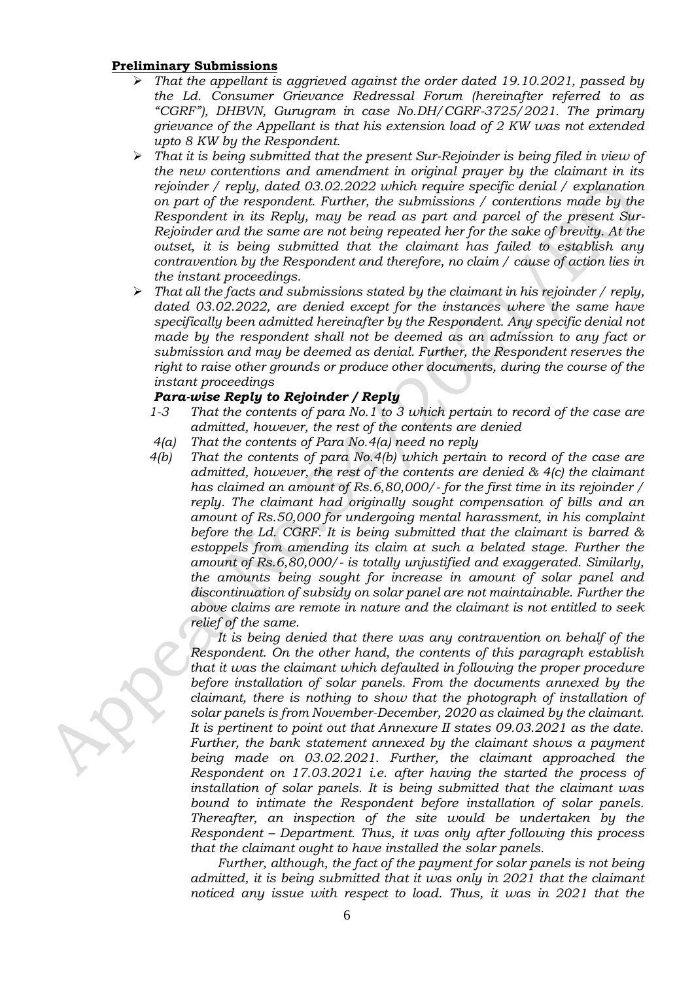#### **Preliminary Submissions**

- ➢ *That the appellant is aggrieved against the order dated 19.10.2021, passed by the Ld. Consumer Grievance Redressal Forum (hereinafter referred to as "CGRF"), DHBVN, Gurugram in case No.DH/CGRF-3725/2021. The primary grievance of the Appellant is that his extension load of 2 KW was not extended upto 8 KW by the Respondent.*
- ➢ *That it is being submitted that the present Sur-Rejoinder is being filed in view of the new contentions and amendment in original prayer by the claimant in its rejoinder / reply, dated 03.02.2022 which require specific denial / explanation on part of the respondent. Further, the submissions / contentions made by the Respondent in its Reply, may be read as part and parcel of the present Sur-Rejoinder and the same are not being repeated her for the sake of brevity. At the outset, it is being submitted that the claimant has failed to establish any contravention by the Respondent and therefore, no claim / cause of action lies in the instant proceedings.*
- ➢ *That all the facts and submissions stated by the claimant in his rejoinder / reply, dated 03.02.2022, are denied except for the instances where the same have specifically been admitted hereinafter by the Respondent. Any specific denial not made by the respondent shall not be deemed as an admission to any fact or submission and may be deemed as denial. Further, the Respondent reserves the right to raise other grounds or produce other documents, during the course of the instant proceedings*

### *Para-wise Reply to Rejoinder / Reply*

- *1-3 That the contents of para No.1 to 3 which pertain to record of the case are admitted, however, the rest of the contents are denied*
- *4(a) That the contents of Para No.4(a) need no reply*
- *4(b) That the contents of para No.4(b) which pertain to record of the case are admitted, however, the rest of the contents are denied & 4(c) the claimant has claimed an amount of Rs.6,80,000/- for the first time in its rejoinder / reply. The claimant had originally sought compensation of bills and an amount of Rs.50,000 for undergoing mental harassment, in his complaint before the Ld. CGRF. It is being submitted that the claimant is barred & estoppels from amending its claim at such a belated stage. Further the amount of Rs.6,80,000/- is totally unjustified and exaggerated. Similarly, the amounts being sought for increase in amount of solar panel and discontinuation of subsidy on solar panel are not maintainable. Further the above claims are remote in nature and the claimant is not entitled to seek relief of the same.*

*It is being denied that there was any contravention on behalf of the Respondent. On the other hand, the contents of this paragraph establish that it was the claimant which defaulted in following the proper procedure before installation of solar panels. From the documents annexed by the claimant, there is nothing to show that the photograph of installation of solar panels is from November-December, 2020 as claimed by the claimant. It is pertinent to point out that Annexure II states 09.03.2021 as the date. Further, the bank statement annexed by the claimant shows a payment being made on 03.02.2021. Further, the claimant approached the Respondent on 17.03.2021 i.e. after having the started the process of installation of solar panels. It is being submitted that the claimant was bound to intimate the Respondent before installation of solar panels. Thereafter, an inspection of the site would be undertaken by the Respondent – Department. Thus, it was only after following this process that the claimant ought to have installed the solar panels.*

*Further, although, the fact of the payment for solar panels is not being admitted, it is being submitted that it was only in 2021 that the claimant noticed any issue with respect to load. Thus, it was in 2021 that the*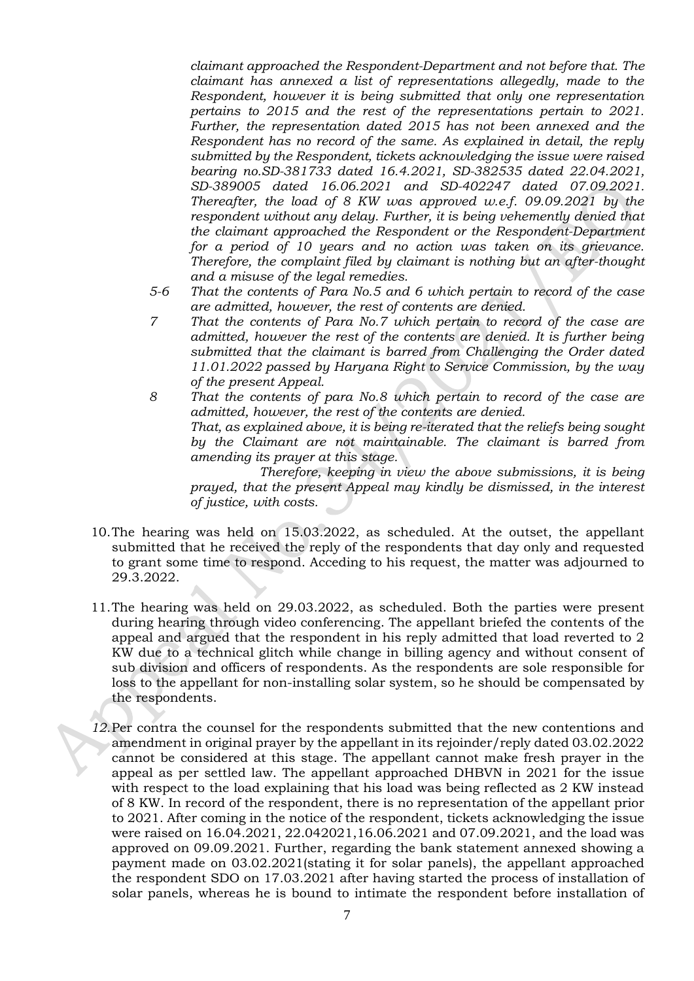*claimant approached the Respondent-Department and not before that. The claimant has annexed a list of representations allegedly, made to the Respondent, however it is being submitted that only one representation pertains to 2015 and the rest of the representations pertain to 2021. Further, the representation dated 2015 has not been annexed and the Respondent has no record of the same. As explained in detail, the reply submitted by the Respondent, tickets acknowledging the issue were raised bearing no.SD-381733 dated 16.4.2021, SD-382535 dated 22.04.2021, SD-389005 dated 16.06.2021 and SD-402247 dated 07.09.2021. Thereafter, the load of 8 KW was approved w.e.f. 09.09.2021 by the respondent without any delay. Further, it is being vehemently denied that the claimant approached the Respondent or the Respondent-Department for a period of 10 years and no action was taken on its grievance. Therefore, the complaint filed by claimant is nothing but an after-thought and a misuse of the legal remedies.*

- *5-6 That the contents of Para No.5 and 6 which pertain to record of the case are admitted, however, the rest of contents are denied.*
- *7 That the contents of Para No.7 which pertain to record of the case are admitted, however the rest of the contents are denied. It is further being submitted that the claimant is barred from Challenging the Order dated 11.01.2022 passed by Haryana Right to Service Commission, by the way of the present Appeal.*
- *8 That the contents of para No.8 which pertain to record of the case are admitted, however, the rest of the contents are denied. That, as explained above, it is being re-iterated that the reliefs being sought by the Claimant are not maintainable. The claimant is barred from amending its prayer at this stage.*

*Therefore, keeping in view the above submissions, it is being prayed, that the present Appeal may kindly be dismissed, in the interest of justice, with costs.*

- 10.The hearing was held on 15.03.2022, as scheduled. At the outset, the appellant submitted that he received the reply of the respondents that day only and requested to grant some time to respond. Acceding to his request, the matter was adjourned to 29.3.2022.
- 11.The hearing was held on 29.03.2022, as scheduled. Both the parties were present during hearing through video conferencing. The appellant briefed the contents of the appeal and argued that the respondent in his reply admitted that load reverted to 2 KW due to a technical glitch while change in billing agency and without consent of sub division and officers of respondents. As the respondents are sole responsible for loss to the appellant for non-installing solar system, so he should be compensated by the respondents.
- *12.*Per contra the counsel for the respondents submitted that the new contentions and amendment in original prayer by the appellant in its rejoinder/reply dated 03.02.2022 cannot be considered at this stage. The appellant cannot make fresh prayer in the appeal as per settled law. The appellant approached DHBVN in 2021 for the issue with respect to the load explaining that his load was being reflected as 2 KW instead of 8 KW. In record of the respondent, there is no representation of the appellant prior to 2021. After coming in the notice of the respondent, tickets acknowledging the issue were raised on 16.04.2021, 22.042021,16.06.2021 and 07.09.2021, and the load was approved on 09.09.2021. Further, regarding the bank statement annexed showing a payment made on 03.02.2021(stating it for solar panels), the appellant approached the respondent SDO on 17.03.2021 after having started the process of installation of solar panels, whereas he is bound to intimate the respondent before installation of